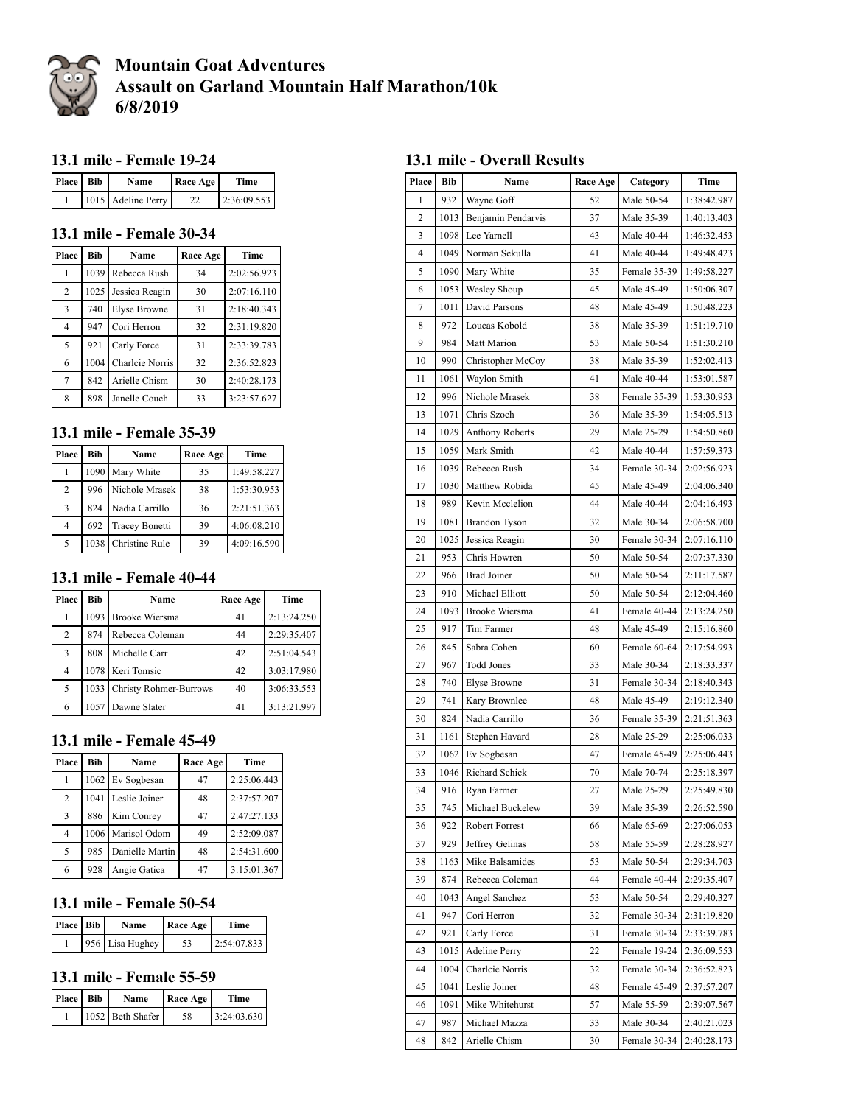

# **Mountain Goat Adventures Assault on Garland Mountain Half Marathon/10k 6/8/2019**

### **13.1 mile - Female 19-24**

| Place Bib | Name               | <b>Race Age</b> | <b>Time</b> |
|-----------|--------------------|-----------------|-------------|
|           | 1015 Adeline Perry |                 | 2:36:09.553 |

#### **13.1 mile - Female 30-34**

| Place          | <b>Bib</b> | Name                | Race Age | Time        |
|----------------|------------|---------------------|----------|-------------|
| 1              | 1039       | Rebecca Rush        | 34       | 2:02:56.923 |
| 2              | 1025       | Jessica Reagin      | 30       | 2:07:16.110 |
| 3              | 740        | <b>Elyse Browne</b> | 31       | 2:18:40.343 |
| $\overline{4}$ | 947        | Cori Herron         | 32       | 2:31:19.820 |
| 5              | 921        | Carly Force         | 31       | 2:33:39.783 |
| 6              | 1004       | Charlcie Norris     | 32       | 2:36:52.823 |
| 7              | 842        | Arielle Chism       | 30       | 2:40:28.173 |
| 8              | 898        | Janelle Couch       | 33       | 3:23:57.627 |

#### **13.1 mile - Female 35-39**

| Place | Bib | Name                  | Race Age | Time        |
|-------|-----|-----------------------|----------|-------------|
|       |     | 1090 Mary White       | 35       | 1:49:58.227 |
| 2     | 996 | Nichole Mrasek        | 38       | 1:53:30.953 |
| 3     | 824 | Nadia Carrillo        | 36       | 2:21:51.363 |
| 4     | 692 | <b>Tracey Bonetti</b> | 39       | 4:06:08.210 |
| 5     |     | 1038   Christine Rule | 39       | 4:09:16.590 |

#### **13.1 mile - Female 40-44**

| Place          | Bib  | Name                          | Race Age | Time        |
|----------------|------|-------------------------------|----------|-------------|
|                |      | 1093 Brooke Wiersma           | 41       | 2:13:24.250 |
| $\overline{2}$ | 874  | Rebecca Coleman               | 44       | 2:29:35.407 |
| 3              | 808  | Michelle Carr                 | 42       | 2:51:04.543 |
| 4              |      | 1078 Keri Tomsic              | 42       | 3:03:17.980 |
| 5              | 1033 | <b>Christy Rohmer-Burrows</b> | 40       | 3:06:33.553 |
| 6              |      | 1057 Dawne Slater             | 41       | 3:13:21.997 |

## **13.1 mile - Female 45-49**

| Place | Bib  | Name              | Race Age | Time        |
|-------|------|-------------------|----------|-------------|
|       |      | 1062 Ev Sogbesan  | 47       | 2:25:06.443 |
| 2     | 1041 | Leslie Joiner     | 48       | 2:37:57.207 |
| 3     | 886  | Kim Conrev        | 47       | 2:47:27.133 |
| 4     |      | 1006 Marisol Odom | 49       | 2:52:09.087 |
| 5     | 985  | Danielle Martin   | 48       | 2:54:31.600 |
| 6     | 928  | Angie Gatica      | 47       | 3:15:01.367 |

#### **13.1 mile - Female 50-54**

| Place Bib | Name            | <b>Race Age</b> | Time        |
|-----------|-----------------|-----------------|-------------|
|           | 956 Lisa Hughey | 53              | 2:54:07.833 |

#### **13.1 mile - Female 55-59**

| <b>Place Bib</b> | Name             | <b>Race Age</b> | <b>Time</b> |
|------------------|------------------|-----------------|-------------|
|                  | 1052 Beth Shafer | 58              | 3:24:03.630 |

### **13.1 mile - Overall Results**

| Place                   | Bib  | Name                   | <b>Race Age</b> |              | Time        |
|-------------------------|------|------------------------|-----------------|--------------|-------------|
| 1                       | 932  | Wayne Goff             | 52              | Male 50-54   | 1:38:42.987 |
| $\overline{\mathbf{c}}$ | 1013 | Benjamin Pendarvis     | 37              | Male 35-39   | 1:40:13.403 |
| 3                       | 1098 | Lee Yarnell            | 43              | Male 40-44   | 1:46:32.453 |
| $\overline{4}$          |      | 1049 Norman Sekulla    | 41              | Male 40-44   | 1:49:48.423 |
| 5                       | 1090 | Mary White             | 35              | Female 35-39 | 1:49:58.227 |
| 6                       | 1053 | Wesley Shoup           | 45              | Male 45-49   | 1:50:06.307 |
| 7                       | 1011 | David Parsons          | 48              | Male 45-49   | 1:50:48.223 |
| 8                       | 972  | Loucas Kobold          | 38              | Male 35-39   | 1:51:19.710 |
| 9                       | 984  | Matt Marion            | 53              | Male 50-54   | 1:51:30.210 |
| 10                      | 990  | Christopher McCoy      | 38              | Male 35-39   | 1:52:02.413 |
| 11                      | 1061 | Waylon Smith           | 41              | Male 40-44   | 1:53:01.587 |
| 12                      | 996  | Nichole Mrasek         | 38              | Female 35-39 | 1:53:30.953 |
| 13                      | 1071 | Chris Szoch            | 36              | Male 35-39   | 1:54:05.513 |
| 14                      | 1029 | <b>Anthony Roberts</b> | 29              | Male 25-29   | 1:54:50.860 |
| 15                      | 1059 | Mark Smith             | 42              | Male 40-44   | 1:57:59.373 |
| 16                      | 1039 | Rebecca Rush           | 34              | Female 30-34 | 2:02:56.923 |
| 17                      | 1030 | Matthew Robida         | 45              | Male 45-49   | 2:04:06.340 |
| 18                      | 989  | Kevin Mcclelion        | 44              | Male 40-44   | 2:04:16.493 |
| 19                      | 1081 | Brandon Tyson          | 32              | Male 30-34   | 2:06:58.700 |
| 20                      | 1025 | Jessica Reagin         | 30              | Female 30-34 | 2:07:16.110 |
| 21                      | 953  | Chris Howren           | 50              | Male 50-54   | 2:07:37.330 |
| 22                      | 966  | <b>Brad Joiner</b>     | 50              | Male 50-54   | 2:11:17.587 |
| 23                      | 910  | Michael Elliott        | 50              | Male 50-54   | 2:12:04.460 |
| 24                      | 1093 | Brooke Wiersma         | 41              | Female 40-44 | 2:13:24.250 |
| 25                      | 917  | Tim Farmer             | 48              | Male 45-49   | 2:15:16.860 |
| 26                      | 845  | Sabra Cohen            | 60              | Female 60-64 | 2:17:54.993 |
| 27                      | 967  | <b>Todd Jones</b>      | 33              | Male 30-34   | 2:18:33.337 |
| 28                      | 740  | Elyse Browne           | 31              | Female 30-34 | 2:18:40.343 |
| 29                      | 741  | Kary Brownlee          | 48              | Male 45-49   | 2:19:12.340 |
| 30                      | 824  | Nadia Carrillo         | 36              | Female 35-39 | 2:21:51.363 |
| 31                      | 1161 | Stephen Havard         | 28              | Male 25-29   | 2:25:06.033 |
| 32                      | 1062 | Ev Sogbesan            | 47              | Female 45-49 | 2:25:06.443 |
| 33                      | 1046 | Richard Schick         | 70              | Male 70-74   | 2:25:18.397 |
| 34                      | 916  | Ryan Farmer            | 27              | Male 25-29   | 2:25:49.830 |
| 35                      | 745  | Michael Buckelew       | 39              | Male 35-39   | 2:26:52.590 |
| 36                      | 922  | Robert Forrest         | 66              | Male 65-69   | 2:27:06.053 |
| 37                      | 929  | Jeffrey Gelinas        | 58              | Male 55-59   | 2:28:28.927 |
| 38                      | 1163 | Mike Balsamides        | 53              | Male 50-54   | 2:29:34.703 |
| 39                      | 874  | Rebecca Coleman        | 44              | Female 40-44 | 2:29:35.407 |
| 40                      | 1043 | Angel Sanchez          | 53              | Male 50-54   | 2:29:40.327 |
| 41                      | 947  | Cori Herron            | 32              | Female 30-34 | 2:31:19.820 |
| 42                      | 921  | Carly Force            | 31              | Female 30-34 | 2:33:39.783 |
| 43                      | 1015 | <b>Adeline Perry</b>   | 22              | Female 19-24 | 2:36:09.553 |
| 44                      | 1004 | Charlcie Norris        | 32              | Female 30-34 | 2:36:52.823 |
| 45                      | 1041 | Leslie Joiner          | 48              | Female 45-49 | 2:37:57.207 |
| 46                      | 1091 | Mike Whitehurst        | 57              | Male 55-59   | 2:39:07.567 |
| 47                      | 987  | Michael Mazza          | 33              | Male 30-34   | 2:40:21.023 |
| 48                      | 842  | Arielle Chism          | 30              | Female 30-34 | 2:40:28.173 |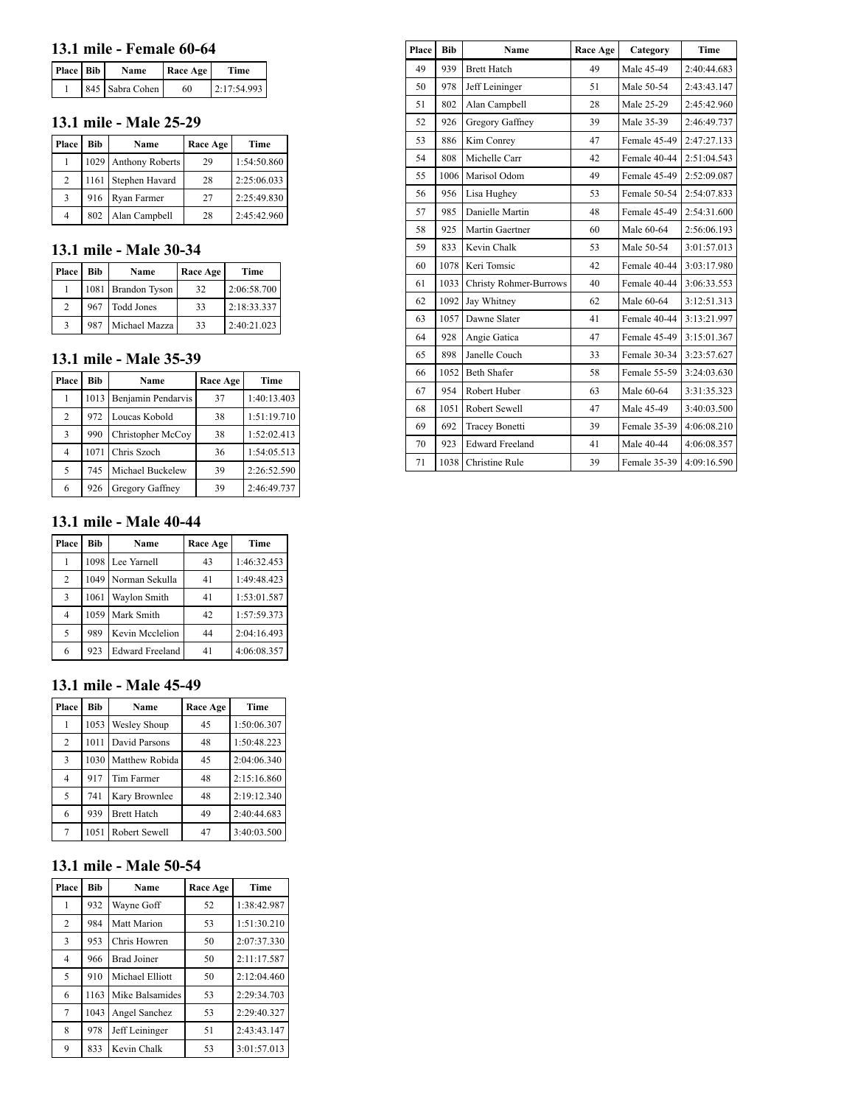### **13.1 mile - Female 60-64**

| Place Bib | Name            | Race Age | Time        |
|-----------|-----------------|----------|-------------|
|           | 845 Sabra Cohen | 60       | 2:17:54.993 |

#### **13.1 mile - Male 25-29**

| Place          | <b>Bib</b> | Name                 | Race Age | <b>Time</b> |
|----------------|------------|----------------------|----------|-------------|
|                |            | 1029 Anthony Roberts | 29       | 1:54:50.860 |
| $\overline{c}$ |            | 1161 Stephen Havard  | 28       | 2:25:06.033 |
| 3              | 916        | Ryan Farmer          | 27       | 2:25:49.830 |
| $\overline{4}$ | 802        | Alan Campbell        | 28       | 2:45:42.960 |

#### **13.1 mile - Male 30-34**

| Place         | Bib | <b>Name</b>        | Race Age | Time        |
|---------------|-----|--------------------|----------|-------------|
|               |     | 1081 Brandon Tyson | 32       | 2:06:58.700 |
| $\mathcal{D}$ | 967 | <b>Todd Jones</b>  | 33       | 2:18:33.337 |
|               | 987 | Michael Mazza      | 33       | 2:40:21.023 |

#### **13.1 mile - Male 35-39**

| Place | Bib  | Name               | <b>Race Age</b> | Time        |
|-------|------|--------------------|-----------------|-------------|
|       | 1013 | Benjamin Pendarvis | 37              | 1:40:13.403 |
| 2     | 972  | Loucas Kobold      | 38              | 1:51:19.710 |
| 3     | 990  | Christopher McCoy  | 38              | 1:52:02.413 |
| 4     | 1071 | Chris Szoch        | 36              | 1:54:05.513 |
| 5     | 745  | Michael Buckelew   | 39              | 2:26:52.590 |
| 6     | 926  | Gregory Gaffney    | 39              | 2:46:49.737 |

#### **13.1 mile - Male 40-44**

| Place          | <b>Bib</b> | Name                   | Race Age | Time        |
|----------------|------------|------------------------|----------|-------------|
|                |            | 1098 Lee Yarnell       | 43       | 1:46:32.453 |
| $\overline{2}$ | 1049       | Norman Sekulla         | 41       | 1:49:48.423 |
| 3              | 1061       | Waylon Smith           | 41       | 1:53:01.587 |
| 4              | 1059       | Mark Smith             | 42       | 1:57:59.373 |
| 5              | 989        | Kevin Mcclelion        | 44       | 2:04:16.493 |
| 6              | 923        | <b>Edward Freeland</b> | 41       | 4:06:08.357 |

#### **13.1 mile - Male 45-49**

| Place          | <b>Bib</b> | Name               | Race Age | Time        |
|----------------|------------|--------------------|----------|-------------|
|                | 1053       | Wesley Shoup       | 45       | 1:50:06.307 |
| $\overline{2}$ | 1011       | David Parsons      | 48       | 1:50:48.223 |
| 3              | 1030       | Matthew Robida     | 45       | 2:04:06.340 |
| 4              | 917        | Tim Farmer         | 48       | 2:15:16.860 |
| 5              | 741        | Kary Brownlee      | 48       | 2:19:12.340 |
| 6              | 939        | <b>Brett Hatch</b> | 49       | 2:40:44.683 |
| 7              | 1051       | Robert Sewell      | 47       | 3:40:03.500 |

## **13.1 mile - Male 50-54**

| Place | <b>Bib</b> | Name               | Race Age | <b>Time</b> |
|-------|------------|--------------------|----------|-------------|
| 1     | 932        | Wayne Goff         | 52       | 1:38:42.987 |
| 2     | 984        | Matt Marion        | 53       | 1:51:30.210 |
| 3     | 953        | Chris Howren       | 50       | 2:07:37.330 |
| 4     | 966        | <b>Brad Joiner</b> | 50       | 2:11:17.587 |
| 5     | 910        | Michael Elliott    | 50       | 2:12:04.460 |
| 6     | 1163       | Mike Balsamides    | 53       | 2:29:34.703 |
| 7     | 1043       | Angel Sanchez      | 53       | 2:29:40.327 |
| 8     | 978        | Jeff Leininger     | 51       | 2:43:43.147 |
| 9     | 833        | Kevin Chalk        | 53       | 3:01:57.013 |

| Place | Bib  | Name                          | Race Age | Category     | Time        |
|-------|------|-------------------------------|----------|--------------|-------------|
| 49    | 939  | <b>Brett Hatch</b>            | 49       | Male 45-49   | 2:40:44.683 |
| 50    | 978  | Jeff Leininger                | 51       | Male 50-54   | 2:43:43.147 |
| 51    | 802  | Alan Campbell                 | 28       | Male 25-29   | 2:45:42.960 |
| 52    | 926  | Gregory Gaffney               | 39       | Male 35-39   | 2:46:49.737 |
| 53    | 886  | Kim Conrey                    | 47       | Female 45-49 | 2:47:27.133 |
| 54    | 808  | Michelle Carr                 | 42       | Female 40-44 | 2:51:04.543 |
| 55    | 1006 | Marisol Odom                  | 49       | Female 45-49 | 2:52:09.087 |
| 56    | 956  | Lisa Hughey                   | 53       | Female 50-54 | 2:54:07.833 |
| 57    | 985  | Danielle Martin               | 48       | Female 45-49 | 2:54:31.600 |
| 58    | 925  | Martin Gaertner               | 60       | Male 60-64   | 2:56:06.193 |
| 59    | 833  | Kevin Chalk                   | 53       | Male 50-54   | 3:01:57.013 |
| 60    | 1078 | Keri Tomsic                   | 42       | Female 40-44 | 3:03:17.980 |
| 61    | 1033 | <b>Christy Rohmer-Burrows</b> | 40       | Female 40-44 | 3:06:33.553 |
| 62    | 1092 | Jay Whitney                   | 62       | Male 60-64   | 3:12:51.313 |
| 63    | 1057 | Dawne Slater                  | 41       | Female 40-44 | 3:13:21.997 |
| 64    | 928  | Angie Gatica                  | 47       | Female 45-49 | 3:15:01.367 |
| 65    | 898  | Janelle Couch                 | 33       | Female 30-34 | 3:23:57.627 |
| 66    | 1052 | <b>Beth Shafer</b>            | 58       | Female 55-59 | 3:24:03.630 |
| 67    | 954  | Robert Huber                  | 63       | Male 60-64   | 3:31:35.323 |
| 68    | 1051 | Robert Sewell                 | 47       | Male 45-49   | 3:40:03.500 |
| 69    | 692  | <b>Tracey Bonetti</b>         | 39       | Female 35-39 | 4:06:08.210 |
| 70    | 923  | <b>Edward Freeland</b>        | 41       | Male 40-44   | 4:06:08.357 |
| 71    | 1038 | <b>Christine Rule</b>         | 39       | Female 35-39 | 4:09:16.590 |